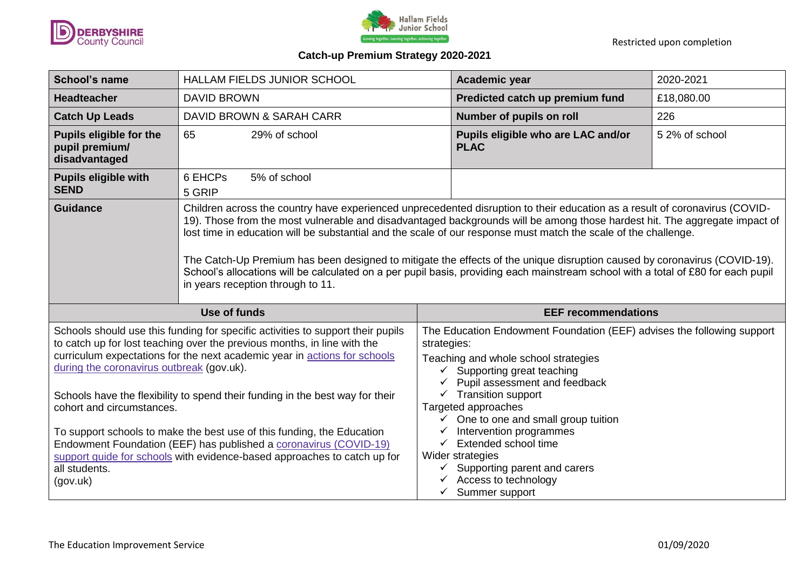



## **Catch-up Premium Strategy 2020-2021**

| <b>School's name</b>                                              | HALLAM FIELDS JUNIOR SCHOOL                                                                                                                                                                                                                                                                                                                                                                                                                                                                                                                                                                                                                                                         | Academic year                                     | 2020-2021      |
|-------------------------------------------------------------------|-------------------------------------------------------------------------------------------------------------------------------------------------------------------------------------------------------------------------------------------------------------------------------------------------------------------------------------------------------------------------------------------------------------------------------------------------------------------------------------------------------------------------------------------------------------------------------------------------------------------------------------------------------------------------------------|---------------------------------------------------|----------------|
| <b>Headteacher</b>                                                | <b>DAVID BROWN</b>                                                                                                                                                                                                                                                                                                                                                                                                                                                                                                                                                                                                                                                                  | Predicted catch up premium fund                   | £18,080.00     |
| <b>Catch Up Leads</b>                                             | DAVID BROWN & SARAH CARR                                                                                                                                                                                                                                                                                                                                                                                                                                                                                                                                                                                                                                                            | Number of pupils on roll                          | 226            |
| <b>Pupils eligible for the</b><br>pupil premium/<br>disadvantaged | 65<br>29% of school                                                                                                                                                                                                                                                                                                                                                                                                                                                                                                                                                                                                                                                                 | Pupils eligible who are LAC and/or<br><b>PLAC</b> | 5 2% of school |
| <b>Pupils eligible with</b><br><b>SEND</b>                        | 6 EHCPs<br>5% of school<br>5 GRIP                                                                                                                                                                                                                                                                                                                                                                                                                                                                                                                                                                                                                                                   |                                                   |                |
| <b>Guidance</b>                                                   | Children across the country have experienced unprecedented disruption to their education as a result of coronavirus (COVID-<br>19). Those from the most vulnerable and disadvantaged backgrounds will be among those hardest hit. The aggregate impact of<br>lost time in education will be substantial and the scale of our response must match the scale of the challenge.<br>The Catch-Up Premium has been designed to mitigate the effects of the unique disruption caused by coronavirus (COVID-19).<br>School's allocations will be calculated on a per pupil basis, providing each mainstream school with a total of £80 for each pupil<br>in years reception through to 11. |                                                   |                |
|                                                                   |                                                                                                                                                                                                                                                                                                                                                                                                                                                                                                                                                                                                                                                                                     |                                                   |                |
|                                                                   | Use of funds                                                                                                                                                                                                                                                                                                                                                                                                                                                                                                                                                                                                                                                                        | <b>EEF recommendations</b>                        |                |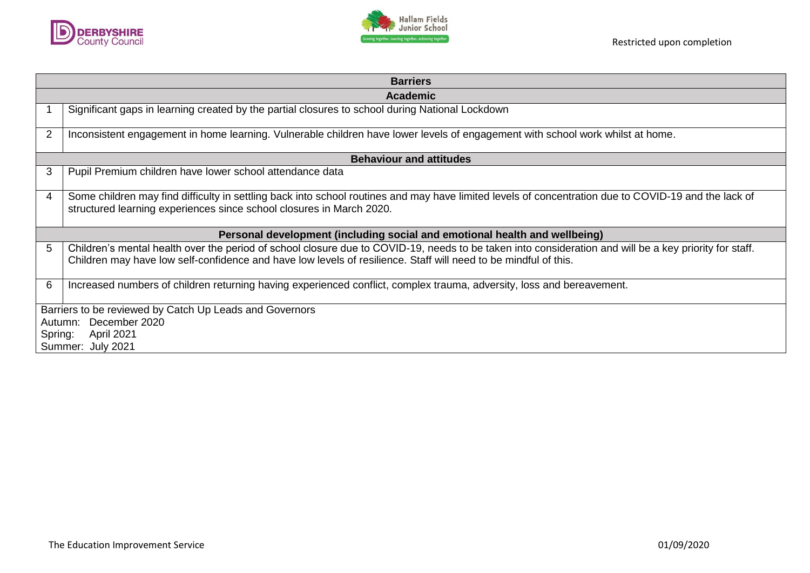



| <b>Barriers</b> |                                                                                                                                                                                                                                                                           |  |  |  |  |
|-----------------|---------------------------------------------------------------------------------------------------------------------------------------------------------------------------------------------------------------------------------------------------------------------------|--|--|--|--|
|                 | <b>Academic</b>                                                                                                                                                                                                                                                           |  |  |  |  |
|                 | Significant gaps in learning created by the partial closures to school during National Lockdown                                                                                                                                                                           |  |  |  |  |
| $\overline{2}$  | Inconsistent engagement in home learning. Vulnerable children have lower levels of engagement with school work whilst at home.                                                                                                                                            |  |  |  |  |
|                 | <b>Behaviour and attitudes</b>                                                                                                                                                                                                                                            |  |  |  |  |
| 3               | Pupil Premium children have lower school attendance data                                                                                                                                                                                                                  |  |  |  |  |
| 4               | Some children may find difficulty in settling back into school routines and may have limited levels of concentration due to COVID-19 and the lack of<br>structured learning experiences since school closures in March 2020.                                              |  |  |  |  |
|                 | Personal development (including social and emotional health and wellbeing)                                                                                                                                                                                                |  |  |  |  |
| 5               | Children's mental health over the period of school closure due to COVID-19, needs to be taken into consideration and will be a key priority for staff.<br>Children may have low self-confidence and have low levels of resilience. Staff will need to be mindful of this. |  |  |  |  |
| 6               | Increased numbers of children returning having experienced conflict, complex trauma, adversity, loss and bereavement.                                                                                                                                                     |  |  |  |  |
|                 | Barriers to be reviewed by Catch Up Leads and Governors                                                                                                                                                                                                                   |  |  |  |  |
|                 | December 2020<br>Autumn:                                                                                                                                                                                                                                                  |  |  |  |  |
|                 | <b>April 2021</b><br>Spring:                                                                                                                                                                                                                                              |  |  |  |  |
|                 | Summer: July 2021                                                                                                                                                                                                                                                         |  |  |  |  |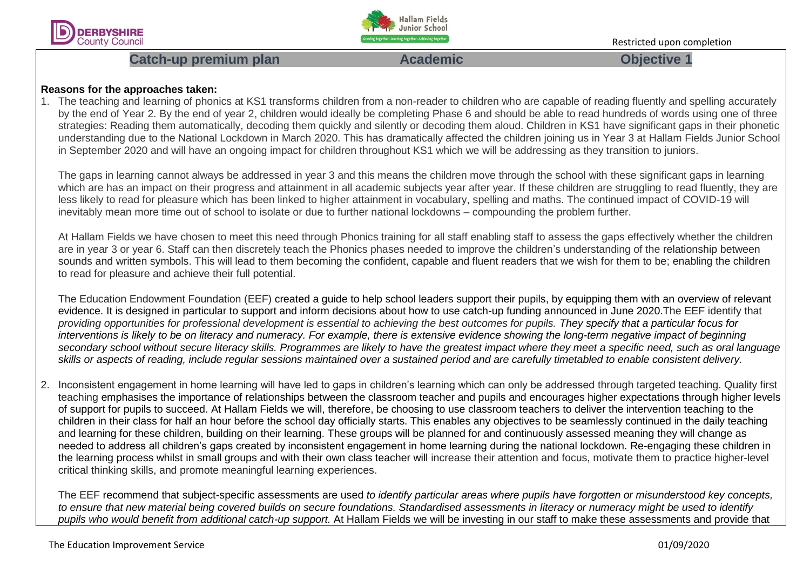



# **Catch-up premium plan Academic Academic Catch-up objective 1**

### **Reasons for the approaches taken:**

1. The teaching and learning of phonics at KS1 transforms children from a non-reader to children who are capable of reading fluently and spelling accurately by the end of Year 2. By the end of year 2, children would ideally be completing Phase 6 and should be able to read hundreds of words using one of three strategies: Reading them automatically, decoding them quickly and silently or decoding them aloud. Children in KS1 have significant gaps in their phonetic understanding due to the National Lockdown in March 2020. This has dramatically affected the children joining us in Year 3 at Hallam Fields Junior School in September 2020 and will have an ongoing impact for children throughout KS1 which we will be addressing as they transition to juniors.

The gaps in learning cannot always be addressed in year 3 and this means the children move through the school with these significant gaps in learning which are has an impact on their progress and attainment in all academic subjects year after year. If these children are struggling to read fluently, they are less likely to read for pleasure which has been linked to higher attainment in vocabulary, spelling and maths. The continued impact of COVID-19 will inevitably mean more time out of school to isolate or due to further national lockdowns – compounding the problem further.

At Hallam Fields we have chosen to meet this need through Phonics training for all staff enabling staff to assess the gaps effectively whether the children are in year 3 or year 6. Staff can then discretely teach the Phonics phases needed to improve the children's understanding of the relationship between sounds and written symbols. This will lead to them becoming the confident, capable and fluent readers that we wish for them to be; enabling the children to read for pleasure and achieve their full potential.

The Education Endowment Foundation (EEF) created a guide to help school leaders support their pupils, by equipping them with an overview of relevant evidence. It is designed in particular to support and inform decisions about how to use catch-up funding announced in June 2020.The EEF identify that *providing opportunities for professional development is essential to achieving the best outcomes for pupils. They specify that a particular focus for interventions is likely to be on literacy and numeracy. For example, there is extensive evidence showing the long-term negative impact of beginning secondary school without secure literacy skills. Programmes are likely to have the greatest impact where they meet a specific need, such as oral language skills or aspects of reading, include regular sessions maintained over a sustained period and are carefully timetabled to enable consistent delivery.*

2. Inconsistent engagement in home learning will have led to gaps in children's learning which can only be addressed through targeted teaching. Quality first teaching emphasises the importance of relationships between the classroom teacher and pupils and encourages higher expectations through higher levels of support for pupils to succeed. At Hallam Fields we will, therefore, be choosing to use classroom teachers to deliver the intervention teaching to the children in their class for half an hour before the school day officially starts. This enables any objectives to be seamlessly continued in the daily teaching and learning for these children, building on their learning. These groups will be planned for and continuously assessed meaning they will change as needed to address all children's gaps created by inconsistent engagement in home learning during the national lockdown. Re-engaging these children in the learning process whilst in small groups and with their own class teacher will increase their attention and focus, motivate them to practice higher-level critical thinking skills, and promote meaningful learning experiences.

The EEF recommend that subject-specific assessments are used *to identify particular areas where pupils have forgotten or misunderstood key concepts, to ensure that new material being covered builds on secure foundations. Standardised assessments in literacy or numeracy might be used to identify pupils who would benefit from additional catch-up support.* At Hallam Fields we will be investing in our staff to make these assessments and provide that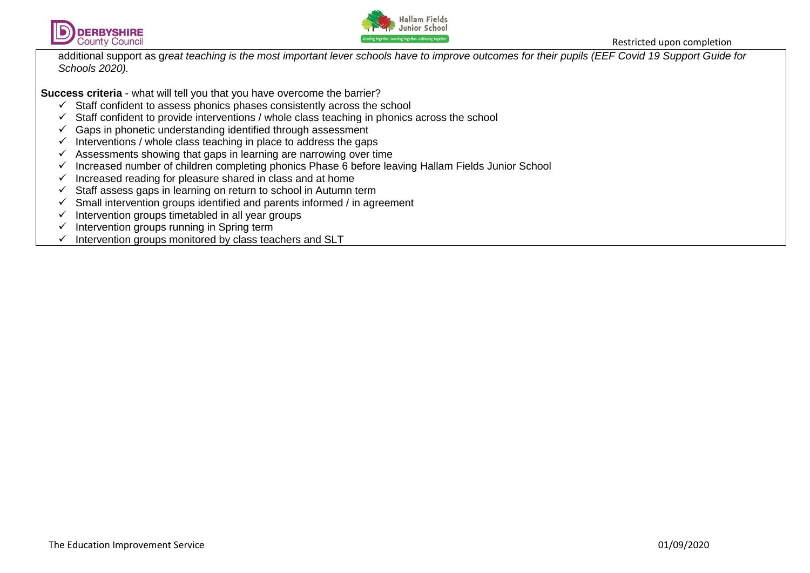



additional support as g*reat teaching is the most important lever schools have to improve outcomes for their pupils (EEF Covid 19 Support Guide for Schools 2020).*

**Success criteria** - what will tell you that you have overcome the barrier?

- $\checkmark$  Staff confident to assess phonics phases consistently across the school
- $\checkmark$  Staff confident to provide interventions / whole class teaching in phonics across the school
- $\checkmark$  Gaps in phonetic understanding identified through assessment
- $\checkmark$  Interventions / whole class teaching in place to address the gaps
- $\checkmark$  Assessments showing that gaps in learning are narrowing over time
- $\checkmark$  Increased number of children completing phonics Phase 6 before leaving Hallam Fields Junior School
- $\checkmark$  Increased reading for pleasure shared in class and at home
- $\checkmark$  Staff assess gaps in learning on return to school in Autumn term
- $\checkmark$  Small intervention groups identified and parents informed / in agreement
- $\checkmark$  Intervention groups timetabled in all year groups
- $\checkmark$  Intervention groups running in Spring term
- $\checkmark$  Intervention groups monitored by class teachers and SLT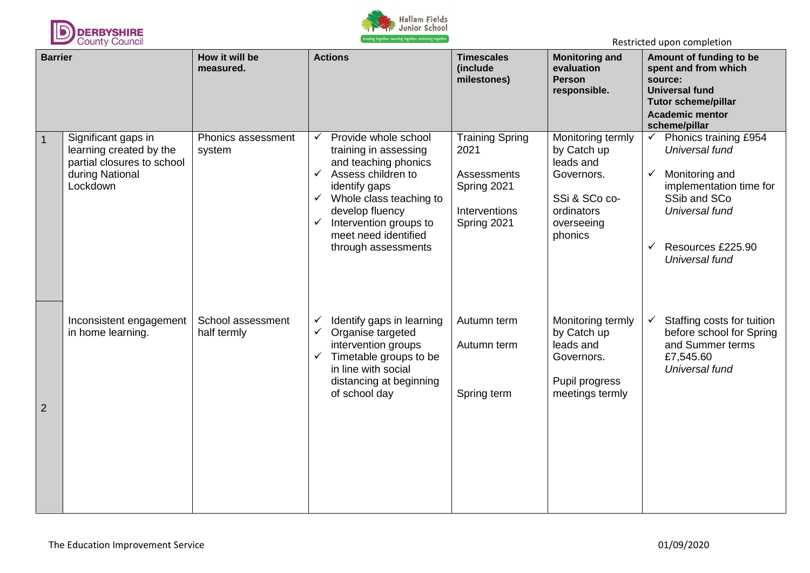



| <b>Barrier</b> |                                                                                                             | How it will be<br>measured.      | <b>Actions</b>                                                                                                                                                                                                                                                                                      | <b>Timescales</b><br><b>Monitoring and</b><br>evaluation<br>(include<br>milestones)<br><b>Person</b><br>responsible. |                                                                                                                     | Amount of funding to be<br>spent and from which<br>source:<br><b>Universal fund</b><br><b>Tutor scheme/pillar</b><br><b>Academic mentor</b><br>scheme/pillar                 |  |
|----------------|-------------------------------------------------------------------------------------------------------------|----------------------------------|-----------------------------------------------------------------------------------------------------------------------------------------------------------------------------------------------------------------------------------------------------------------------------------------------------|----------------------------------------------------------------------------------------------------------------------|---------------------------------------------------------------------------------------------------------------------|------------------------------------------------------------------------------------------------------------------------------------------------------------------------------|--|
| $\overline{1}$ | Significant gaps in<br>learning created by the<br>partial closures to school<br>during National<br>Lockdown | Phonics assessment<br>system     | Provide whole school<br>$\checkmark$<br>training in assessing<br>and teaching phonics<br>Assess children to<br>$\checkmark$<br>identify gaps<br>Whole class teaching to<br>$\checkmark$<br>develop fluency<br>Intervention groups to<br>$\checkmark$<br>meet need identified<br>through assessments | <b>Training Spring</b><br>2021<br>Assessments<br>Spring 2021<br>Interventions<br>Spring 2021                         | Monitoring termly<br>by Catch up<br>leads and<br>Governors.<br>SSi & SCo co-<br>ordinators<br>overseeing<br>phonics | Phonics training £954<br>✓<br>Universal fund<br>Monitoring and<br>✓<br>implementation time for<br>SSib and SCo<br>Universal fund<br>Resources £225.90<br>✓<br>Universal fund |  |
| $\overline{2}$ | Inconsistent engagement<br>in home learning.                                                                | School assessment<br>half termly | Identify gaps in learning<br>✓<br>$\checkmark$<br>Organise targeted<br>intervention groups<br>Timetable groups to be<br>$\checkmark$<br>in line with social<br>distancing at beginning<br>of school day                                                                                             | Autumn term<br>Autumn term<br>Spring term                                                                            | Monitoring termly<br>by Catch up<br>leads and<br>Governors.<br>Pupil progress<br>meetings termly                    | Staffing costs for tuition<br>✓<br>before school for Spring<br>and Summer terms<br>£7,545.60<br>Universal fund                                                               |  |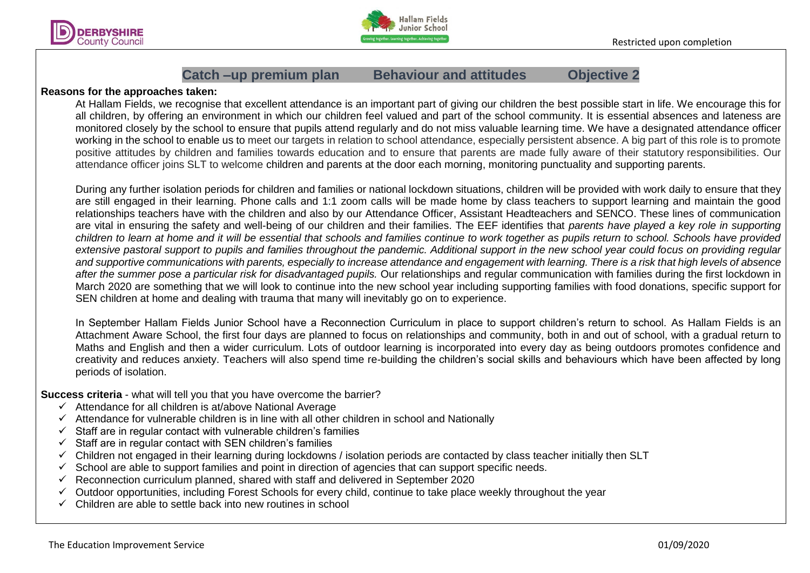



## **Catch –up premium plan Behaviour and attitudes Objective 2**

### **Reasons for the approaches taken:**

At Hallam Fields, we recognise that excellent attendance is an important part of giving our children the best possible start in life. We encourage this for all children, by offering an environment in which our children feel valued and part of the school community. It is essential absences and lateness are monitored closely by the school to ensure that pupils attend regularly and do not miss valuable learning time. We have a designated attendance officer working in the school to enable us to meet our targets in relation to school attendance, especially persistent absence. A big part of this role is to promote positive attitudes by children and families towards education and to ensure that parents are made fully aware of their statutory responsibilities. Our attendance officer joins SLT to welcome children and parents at the door each morning, monitoring punctuality and supporting parents.

During any further isolation periods for children and families or national lockdown situations, children will be provided with work daily to ensure that they are still engaged in their learning. Phone calls and 1:1 zoom calls will be made home by class teachers to support learning and maintain the good relationships teachers have with the children and also by our Attendance Officer, Assistant Headteachers and SENCO. These lines of communication are vital in ensuring the safety and well-being of our children and their families. The EEF identifies that *parents have played a key role in supporting children to learn at home and it will be essential that schools and families continue to work together as pupils return to school. Schools have provided*  extensive pastoral support to pupils and families throughout the pandemic. Additional support in the new school year could focus on providing regular *and supportive communications with parents, especially to increase attendance and engagement with learning. There is a risk that high levels of absence after the summer pose a particular risk for disadvantaged pupils.* Our relationships and regular communication with families during the first lockdown in March 2020 are something that we will look to continue into the new school year including supporting families with food donations, specific support for SEN children at home and dealing with trauma that many will inevitably go on to experience.

In September Hallam Fields Junior School have a Reconnection Curriculum in place to support children's return to school. As Hallam Fields is an Attachment Aware School, the first four days are planned to focus on relationships and community, both in and out of school, with a gradual return to Maths and English and then a wider curriculum. Lots of outdoor learning is incorporated into every day as being outdoors promotes confidence and creativity and reduces anxiety. Teachers will also spend time re-building the children's social skills and behaviours which have been affected by long periods of isolation.

**Success criteria** - what will tell you that you have overcome the barrier?

- $\checkmark$  Attendance for all children is at/above National Average
- $\checkmark$  Attendance for vulnerable children is in line with all other children in school and Nationally
- $\checkmark$  Staff are in regular contact with vulnerable children's families
- $\checkmark$  Staff are in regular contact with SEN children's families
- $\checkmark$  Children not engaged in their learning during lockdowns / isolation periods are contacted by class teacher initially then SLT
- $\checkmark$  School are able to support families and point in direction of agencies that can support specific needs.
- $\checkmark$  Reconnection curriculum planned, shared with staff and delivered in September 2020
- $\checkmark$  Outdoor opportunities, including Forest Schools for every child, continue to take place weekly throughout the year
- $\checkmark$  Children are able to settle back into new routines in school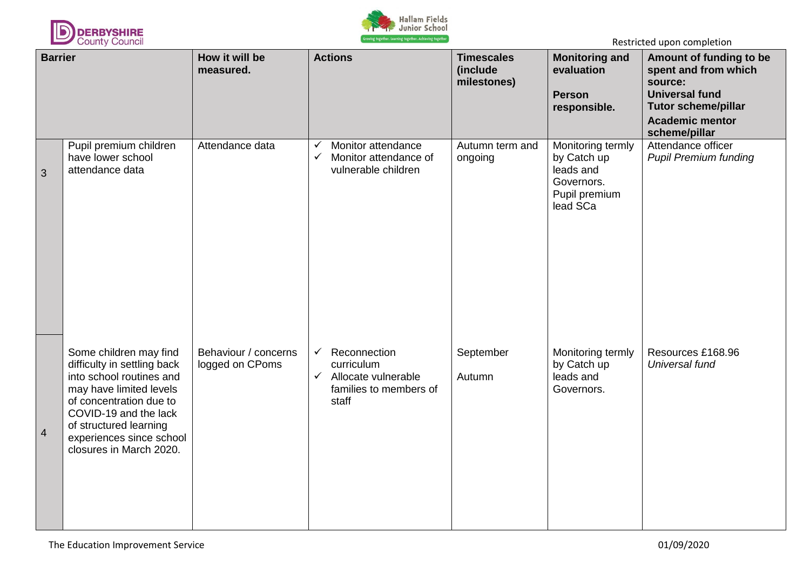



| <b>Barrier</b> |                                                                                                                                                                                                                                                   | How it will be<br>measured.             | <b>Actions</b>                                                                                                       | <b>Timescales</b><br>(include<br>milestones) | <b>Monitoring and</b><br>evaluation<br><b>Person</b><br>responsible.                     | Amount of funding to be<br>spent and from which<br>source:<br><b>Universal fund</b><br><b>Tutor scheme/pillar</b><br><b>Academic mentor</b><br>scheme/pillar |
|----------------|---------------------------------------------------------------------------------------------------------------------------------------------------------------------------------------------------------------------------------------------------|-----------------------------------------|----------------------------------------------------------------------------------------------------------------------|----------------------------------------------|------------------------------------------------------------------------------------------|--------------------------------------------------------------------------------------------------------------------------------------------------------------|
| 3              | Pupil premium children<br>have lower school<br>attendance data                                                                                                                                                                                    | Attendance data                         | Monitor attendance<br>Monitor attendance of<br>$\checkmark$<br>vulnerable children                                   | Autumn term and<br>ongoing                   | Monitoring termly<br>by Catch up<br>leads and<br>Governors.<br>Pupil premium<br>lead SCa | Attendance officer<br><b>Pupil Premium funding</b>                                                                                                           |
| $\overline{4}$ | Some children may find<br>difficulty in settling back<br>into school routines and<br>may have limited levels<br>of concentration due to<br>COVID-19 and the lack<br>of structured learning<br>experiences since school<br>closures in March 2020. | Behaviour / concerns<br>logged on CPoms | Reconnection<br>$\checkmark$<br>curriculum<br>Allocate vulnerable<br>$\checkmark$<br>families to members of<br>staff | September<br>Autumn                          | Monitoring termly<br>by Catch up<br>leads and<br>Governors.                              | Resources £168.96<br>Universal fund                                                                                                                          |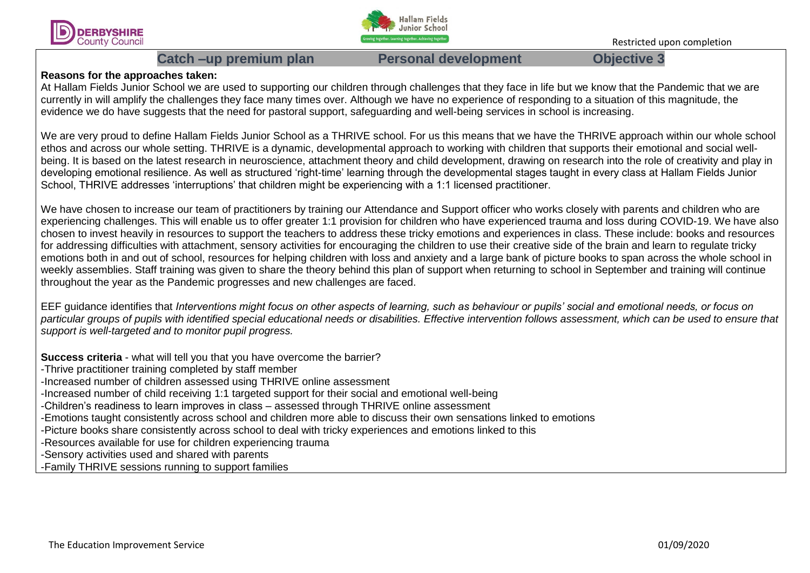



# Catch –up premium plan **Personal development** Objective 3

## **Reasons for the approaches taken:**

At Hallam Fields Junior School we are used to supporting our children through challenges that they face in life but we know that the Pandemic that we are currently in will amplify the challenges they face many times over. Although we have no experience of responding to a situation of this magnitude, the evidence we do have suggests that the need for pastoral support, safeguarding and well-being services in school is increasing.

We are very proud to define Hallam Fields Junior School as a THRIVE school. For us this means that we have the THRIVE approach within our whole school ethos and across our whole setting. THRIVE is a dynamic, developmental approach to working with children that supports their emotional and social wellbeing. It is based on the latest research in neuroscience, attachment theory and child development, drawing on research into the role of creativity and play in developing emotional resilience. As well as structured 'right-time' learning through the developmental stages taught in every class at Hallam Fields Junior School, THRIVE addresses 'interruptions' that children might be experiencing with a 1:1 licensed practitioner.

We have chosen to increase our team of practitioners by training our Attendance and Support officer who works closely with parents and children who are experiencing challenges. This will enable us to offer greater 1:1 provision for children who have experienced trauma and loss during COVID-19. We have also chosen to invest heavily in resources to support the teachers to address these tricky emotions and experiences in class. These include: books and resources for addressing difficulties with attachment, sensory activities for encouraging the children to use their creative side of the brain and learn to regulate tricky emotions both in and out of school, resources for helping children with loss and anxiety and a large bank of picture books to span across the whole school in weekly assemblies. Staff training was given to share the theory behind this plan of support when returning to school in September and training will continue throughout the year as the Pandemic progresses and new challenges are faced.

EEF guidance identifies that *Interventions might focus on other aspects of learning, such as behaviour or pupils' social and emotional needs, or focus on particular groups of pupils with identified special educational needs or disabilities. Effective intervention follows assessment, which can be used to ensure that support is well-targeted and to monitor pupil progress.*

**Success criteria** - what will tell you that you have overcome the barrier?

- -Thrive practitioner training completed by staff member
- -Increased number of children assessed using THRIVE online assessment
- -Increased number of child receiving 1:1 targeted support for their social and emotional well-being
- -Children's readiness to learn improves in class assessed through THRIVE online assessment
- -Emotions taught consistently across school and children more able to discuss their own sensations linked to emotions
- -Picture books share consistently across school to deal with tricky experiences and emotions linked to this
- -Resources available for use for children experiencing trauma
- -Sensory activities used and shared with parents
- -Family THRIVE sessions running to support families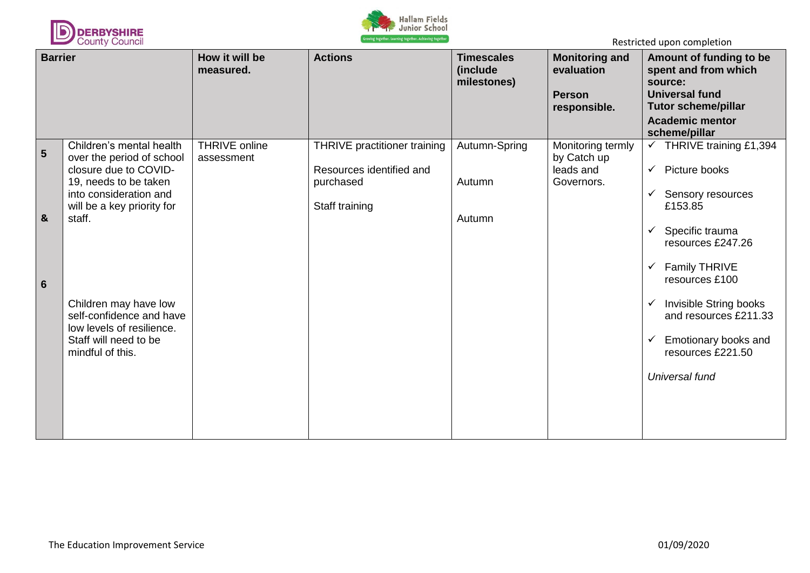



| <b>Barrier</b>  |                                                                                                                                                                           | How it will be<br>measured.        | <b>Actions</b>                                                                          | <b>Timescales</b><br>(include<br>milestones) | <b>Monitoring and</b><br>evaluation<br><b>Person</b><br>responsible. | Amount of funding to be<br>spent and from which<br>source:<br><b>Universal fund</b><br><b>Tutor scheme/pillar</b><br><b>Academic mentor</b><br>scheme/pillar                            |
|-----------------|---------------------------------------------------------------------------------------------------------------------------------------------------------------------------|------------------------------------|-----------------------------------------------------------------------------------------|----------------------------------------------|----------------------------------------------------------------------|-----------------------------------------------------------------------------------------------------------------------------------------------------------------------------------------|
| 5<br>&          | Children's mental health<br>over the period of school<br>closure due to COVID-<br>19, needs to be taken<br>into consideration and<br>will be a key priority for<br>staff. | <b>THRIVE online</b><br>assessment | THRIVE practitioner training<br>Resources identified and<br>purchased<br>Staff training | Autumn-Spring<br>Autumn<br>Autumn            | Monitoring termly<br>by Catch up<br>leads and<br>Governors.          | THRIVE training £1,394<br>$\checkmark$<br>Picture books<br>$\checkmark$<br>Sensory resources<br>✓<br>£153.85<br>Specific trauma<br>resources £247.26<br>Family THRIVE<br>resources £100 |
| $6\phantom{1}6$ | Children may have low<br>self-confidence and have<br>low levels of resilience.<br>Staff will need to be<br>mindful of this.                                               |                                    |                                                                                         |                                              |                                                                      | Invisible String books<br>and resources £211.33<br>Emotionary books and<br>resources £221.50<br>Universal fund                                                                          |